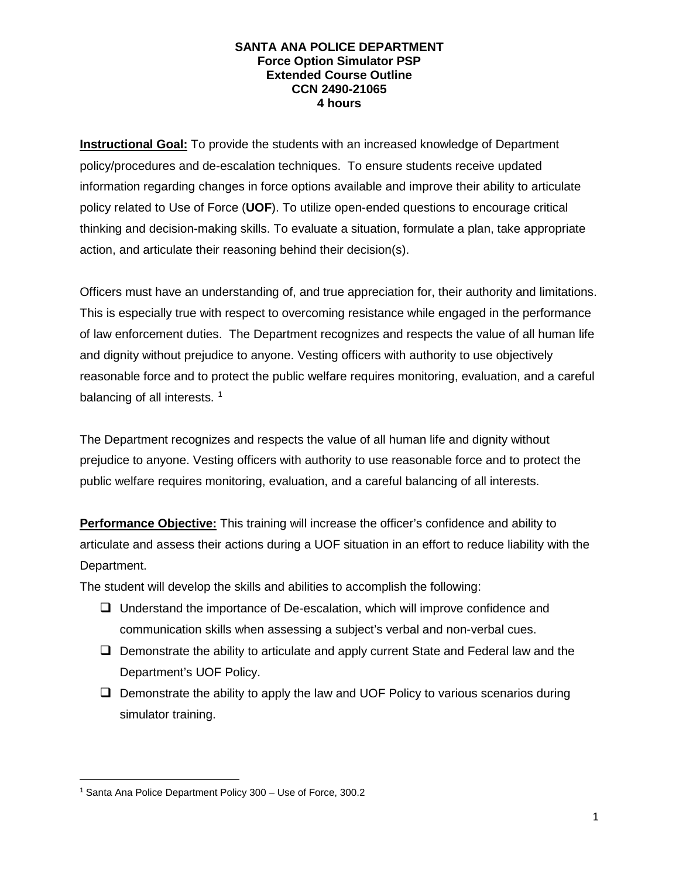**Instructional Goal:** To provide the students with an increased knowledge of Department policy/procedures and de-escalation techniques. To ensure students receive updated information regarding changes in force options available and improve their ability to articulate policy related to Use of Force (**UOF**). To utilize open-ended questions to encourage critical thinking and decision-making skills. To evaluate a situation, formulate a plan, take appropriate action, and articulate their reasoning behind their decision(s).

Officers must have an understanding of, and true appreciation for, their authority and limitations. This is especially true with respect to overcoming resistance while engaged in the performance of law enforcement duties. The Department recognizes and respects the value of all human life and dignity without prejudice to anyone. Vesting officers with authority to use objectively reasonable force and to protect the public welfare requires monitoring, evaluation, and a careful balancing of all interests.<sup>[1](#page-0-0)</sup>

The Department recognizes and respects the value of all human life and dignity without prejudice to anyone. Vesting officers with authority to use reasonable force and to protect the public welfare requires monitoring, evaluation, and a careful balancing of all interests.

**Performance Objective:** This training will increase the officer's confidence and ability to articulate and assess their actions during a UOF situation in an effort to reduce liability with the Department.

The student will develop the skills and abilities to accomplish the following:

- Understand the importance of De-escalation, which will improve confidence and communication skills when assessing a subject's verbal and non-verbal cues.
- $\Box$  Demonstrate the ability to articulate and apply current State and Federal law and the Department's UOF Policy.
- $\Box$  Demonstrate the ability to apply the law and UOF Policy to various scenarios during simulator training.

<span id="page-0-0"></span> <sup>1</sup> Santa Ana Police Department Policy 300 – Use of Force, 300.2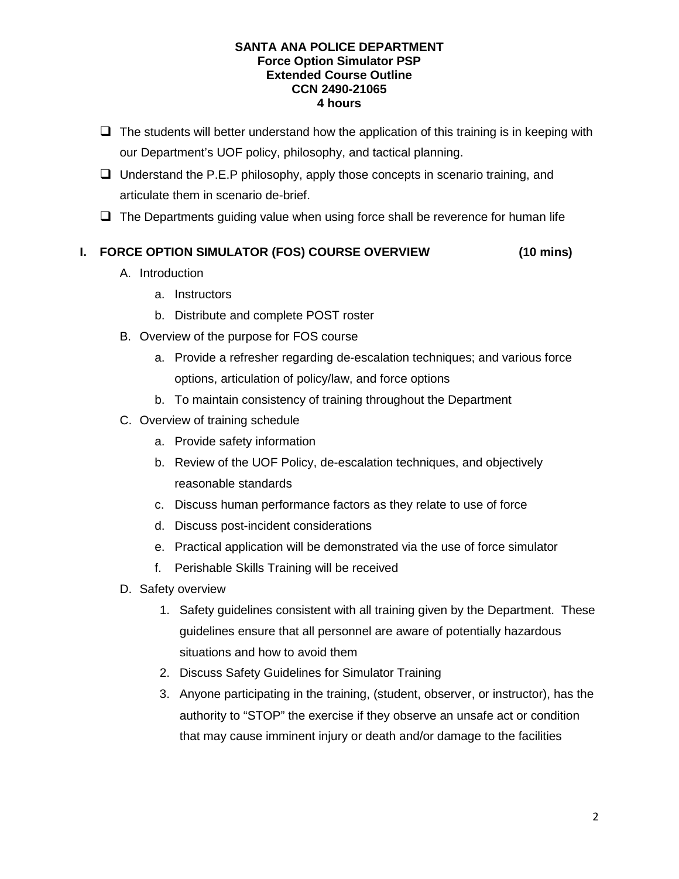- $\Box$  The students will better understand how the application of this training is in keeping with our Department's UOF policy, philosophy, and tactical planning.
- $\Box$  Understand the P.E.P philosophy, apply those concepts in scenario training, and articulate them in scenario de-brief.
- $\Box$  The Departments guiding value when using force shall be reverence for human life

# **I. FORCE OPTION SIMULATOR (FOS) COURSE OVERVIEW (10 mins)**

- A. Introduction
	- a. Instructors
	- b. Distribute and complete POST roster
- B. Overview of the purpose for FOS course
	- a. Provide a refresher regarding de-escalation techniques; and various force options, articulation of policy/law, and force options
	- b. To maintain consistency of training throughout the Department
- C. Overview of training schedule
	- a. Provide safety information
	- b. Review of the UOF Policy, de-escalation techniques, and objectively reasonable standards
	- c. Discuss human performance factors as they relate to use of force
	- d. Discuss post-incident considerations
	- e. Practical application will be demonstrated via the use of force simulator
	- f. Perishable Skills Training will be received
- D. Safety overview
	- 1. Safety guidelines consistent with all training given by the Department. These guidelines ensure that all personnel are aware of potentially hazardous situations and how to avoid them
	- 2. Discuss Safety Guidelines for Simulator Training
	- 3. Anyone participating in the training, (student, observer, or instructor), has the authority to "STOP" the exercise if they observe an unsafe act or condition that may cause imminent injury or death and/or damage to the facilities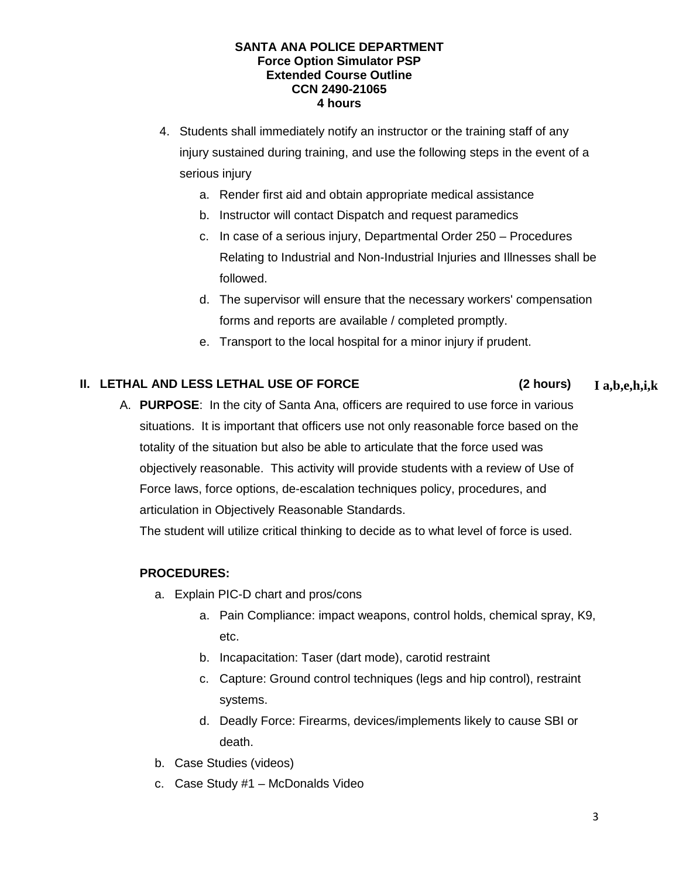- 4. Students shall immediately notify an instructor or the training staff of any injury sustained during training, and use the following steps in the event of a serious injury
	- a. Render first aid and obtain appropriate medical assistance
	- b. Instructor will contact Dispatch and request paramedics
	- c. In case of a serious injury, Departmental Order 250 Procedures Relating to Industrial and Non-Industrial Injuries and Illnesses shall be followed.
	- d. The supervisor will ensure that the necessary workers' compensation forms and reports are available / completed promptly.
	- e. Transport to the local hospital for a minor injury if prudent.

## **II. LETHAL AND LESS LETHAL USE OF FORCE (2 hours)**

A. **PURPOSE**: In the city of Santa Ana, officers are required to use force in various situations. It is important that officers use not only reasonable force based on the totality of the situation but also be able to articulate that the force used was objectively reasonable. This activity will provide students with a review of Use of Force laws, force options, de-escalation techniques policy, procedures, and articulation in Objectively Reasonable Standards.

The student will utilize critical thinking to decide as to what level of force is used.

## **PROCEDURES:**

- a. Explain PIC-D chart and pros/cons
	- a. Pain Compliance: impact weapons, control holds, chemical spray, K9, etc.
	- b. Incapacitation: Taser (dart mode), carotid restraint
	- c. Capture: Ground control techniques (legs and hip control), restraint systems.
	- d. Deadly Force: Firearms, devices/implements likely to cause SBI or death.
- b. Case Studies (videos)
- c. Case Study #1 McDonalds Video

**I a,b,e,h,i,k**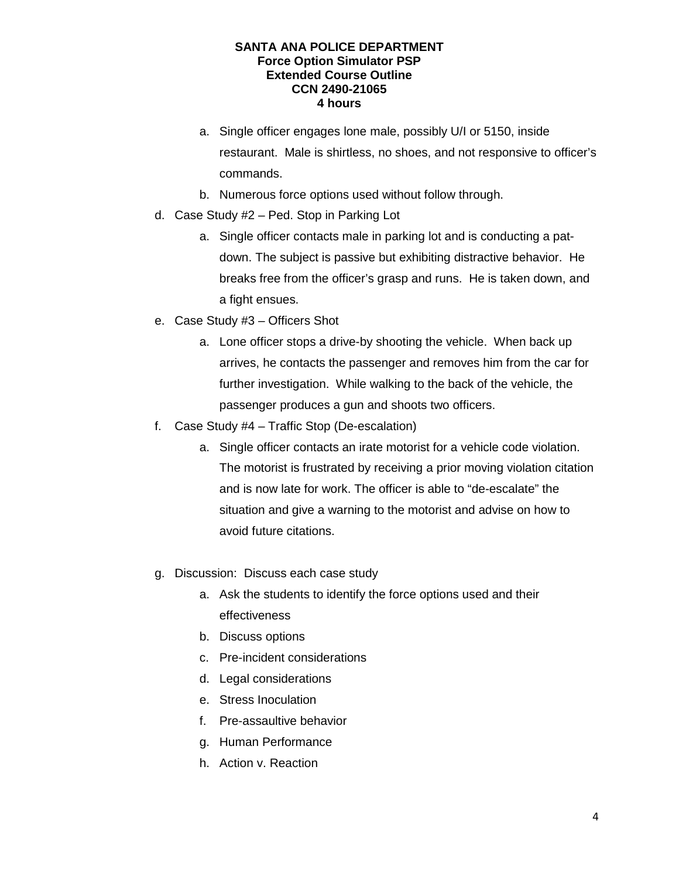- a. Single officer engages lone male, possibly U/I or 5150, inside restaurant. Male is shirtless, no shoes, and not responsive to officer's commands.
- b. Numerous force options used without follow through.
- d. Case Study #2 Ped. Stop in Parking Lot
	- a. Single officer contacts male in parking lot and is conducting a patdown. The subject is passive but exhibiting distractive behavior. He breaks free from the officer's grasp and runs. He is taken down, and a fight ensues.
- e. Case Study #3 Officers Shot
	- a. Lone officer stops a drive-by shooting the vehicle. When back up arrives, he contacts the passenger and removes him from the car for further investigation. While walking to the back of the vehicle, the passenger produces a gun and shoots two officers.
- f. Case Study #4 Traffic Stop (De-escalation)
	- a. Single officer contacts an irate motorist for a vehicle code violation. The motorist is frustrated by receiving a prior moving violation citation and is now late for work. The officer is able to "de-escalate" the situation and give a warning to the motorist and advise on how to avoid future citations.
- g. Discussion: Discuss each case study
	- a. Ask the students to identify the force options used and their effectiveness
	- b. Discuss options
	- c. Pre-incident considerations
	- d. Legal considerations
	- e. Stress Inoculation
	- f. Pre-assaultive behavior
	- g. Human Performance
	- h. Action v. Reaction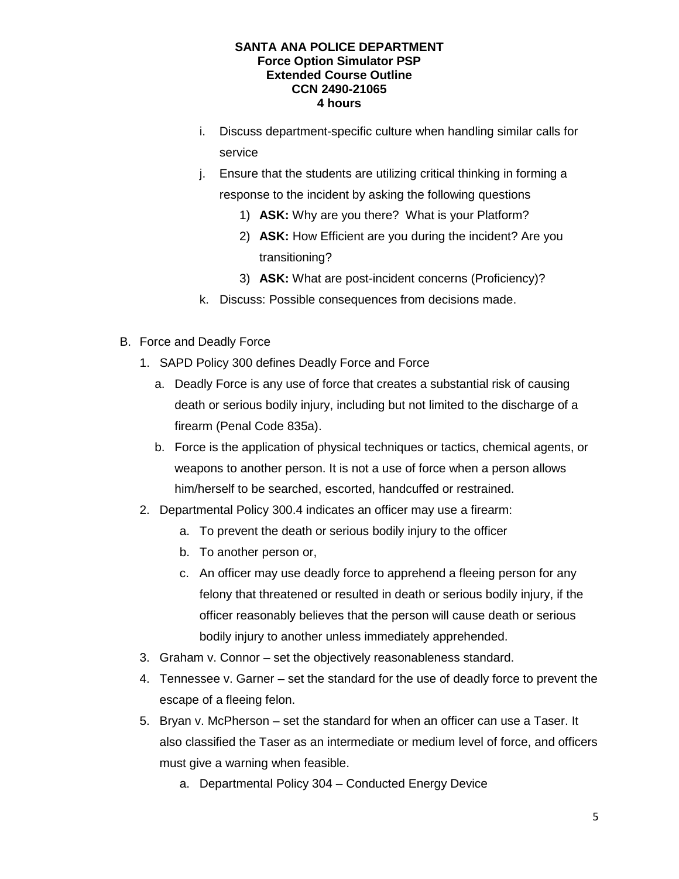- i. Discuss department-specific culture when handling similar calls for service
- j. Ensure that the students are utilizing critical thinking in forming a response to the incident by asking the following questions
	- 1) **ASK:** Why are you there? What is your Platform?
	- 2) **ASK:** How Efficient are you during the incident? Are you transitioning?
	- 3) **ASK:** What are post-incident concerns (Proficiency)?
- k. Discuss: Possible consequences from decisions made.
- B. Force and Deadly Force
	- 1. SAPD Policy 300 defines Deadly Force and Force
		- a. Deadly Force is any use of force that creates a substantial risk of causing death or serious bodily injury, including but not limited to the discharge of a firearm (Penal Code 835a).
		- b. Force is the application of physical techniques or tactics, chemical agents, or weapons to another person. It is not a use of force when a person allows him/herself to be searched, escorted, handcuffed or restrained.
	- 2. Departmental Policy 300.4 indicates an officer may use a firearm:
		- a. To prevent the death or serious bodily injury to the officer
		- b. To another person or,
		- c. An officer may use deadly force to apprehend a fleeing person for any felony that threatened or resulted in death or serious bodily injury, if the officer reasonably believes that the person will cause death or serious bodily injury to another unless immediately apprehended.
	- 3. Graham v. Connor set the objectively reasonableness standard.
	- 4. Tennessee v. Garner set the standard for the use of deadly force to prevent the escape of a fleeing felon.
	- 5. Bryan v. McPherson set the standard for when an officer can use a Taser. It also classified the Taser as an intermediate or medium level of force, and officers must give a warning when feasible.
		- a. Departmental Policy 304 Conducted Energy Device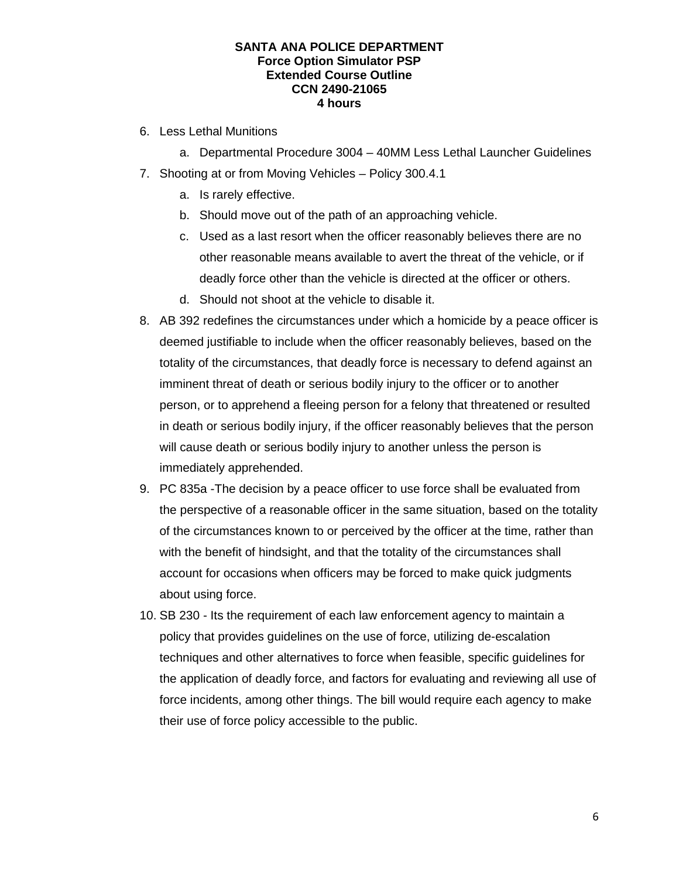- 6. Less Lethal Munitions
	- a. Departmental Procedure 3004 40MM Less Lethal Launcher Guidelines
- 7. Shooting at or from Moving Vehicles Policy 300.4.1
	- a. Is rarely effective.
	- b. Should move out of the path of an approaching vehicle.
	- c. Used as a last resort when the officer reasonably believes there are no other reasonable means available to avert the threat of the vehicle, or if deadly force other than the vehicle is directed at the officer or others.
	- d. Should not shoot at the vehicle to disable it.
- 8. AB 392 redefines the circumstances under which a homicide by a peace officer is deemed justifiable to include when the officer reasonably believes, based on the totality of the circumstances, that deadly force is necessary to defend against an imminent threat of death or serious bodily injury to the officer or to another person, or to apprehend a fleeing person for a felony that threatened or resulted in death or serious bodily injury, if the officer reasonably believes that the person will cause death or serious bodily injury to another unless the person is immediately apprehended.
- 9. PC 835a -The decision by a peace officer to use force shall be evaluated from the perspective of a reasonable officer in the same situation, based on the totality of the circumstances known to or perceived by the officer at the time, rather than with the benefit of hindsight, and that the totality of the circumstances shall account for occasions when officers may be forced to make quick judgments about using force.
- 10. SB 230 Its the requirement of each law enforcement agency to maintain a policy that provides guidelines on the use of force, utilizing de-escalation techniques and other alternatives to force when feasible, specific guidelines for the application of deadly force, and factors for evaluating and reviewing all use of force incidents, among other things. The bill would require each agency to make their use of force policy accessible to the public.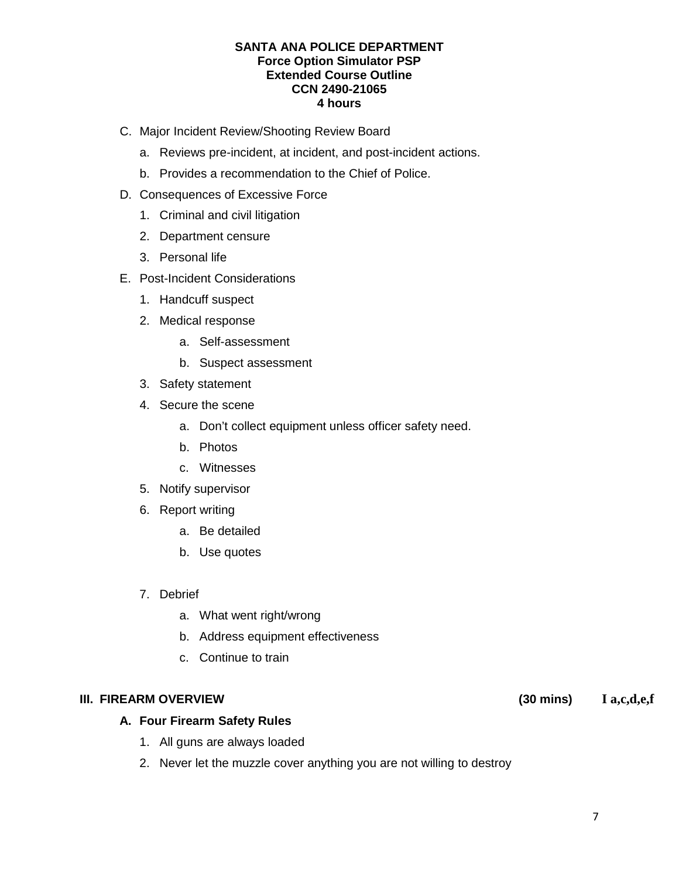- C. Major Incident Review/Shooting Review Board
	- a. Reviews pre-incident, at incident, and post-incident actions.
	- b. Provides a recommendation to the Chief of Police.
- D. Consequences of Excessive Force
	- 1. Criminal and civil litigation
	- 2. Department censure
	- 3. Personal life
- E. Post-Incident Considerations
	- 1. Handcuff suspect
	- 2. Medical response
		- a. Self-assessment
		- b. Suspect assessment
	- 3. Safety statement
	- 4. Secure the scene
		- a. Don't collect equipment unless officer safety need.
		- b. Photos
		- c. Witnesses
	- 5. Notify supervisor
	- 6. Report writing
		- a. Be detailed
		- b. Use quotes
	- 7. Debrief
		- a. What went right/wrong
		- b. Address equipment effectiveness
		- c. Continue to train

## **III. FIREARM OVERVIEW (30 mins)**

## **A. Four Firearm Safety Rules**

- 1. All guns are always loaded
- 2. Never let the muzzle cover anything you are not willing to destroy

#### **I a,c,d,e,f**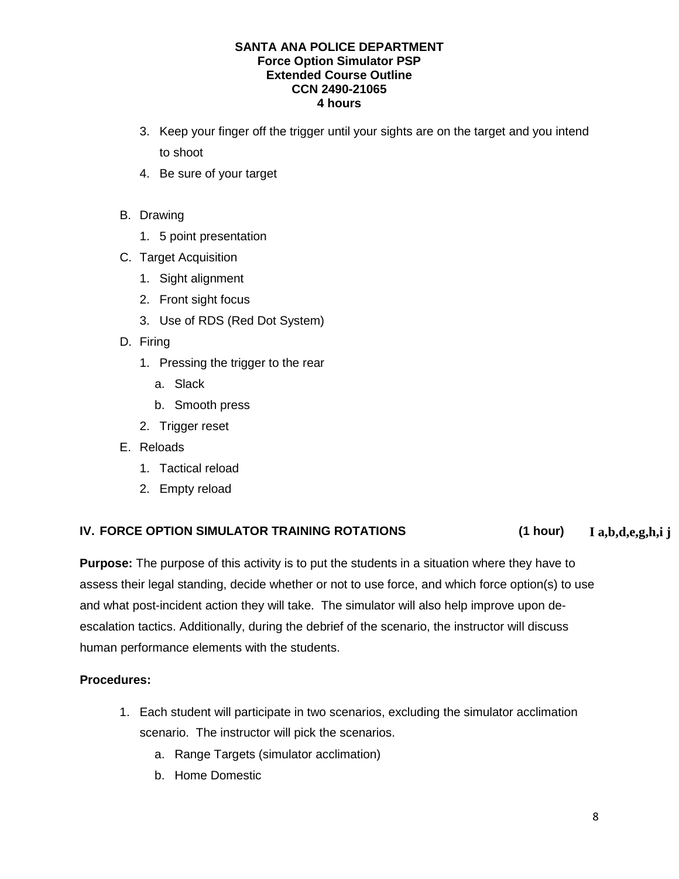- 3. Keep your finger off the trigger until your sights are on the target and you intend to shoot
- 4. Be sure of your target
- B. Drawing
	- 1. 5 point presentation
- C. Target Acquisition
	- 1. Sight alignment
	- 2. Front sight focus
	- 3. Use of RDS (Red Dot System)
- D. Firing
	- 1. Pressing the trigger to the rear
		- a. Slack
		- b. Smooth press
	- 2. Trigger reset
- E. Reloads
	- 1. Tactical reload
	- 2. Empty reload

#### **IV. FORCE OPTION SIMULATOR TRAINING ROTATIONS (1 hour) I a,b,d,e,g,h,i j**

**Purpose:** The purpose of this activity is to put the students in a situation where they have to assess their legal standing, decide whether or not to use force, and which force option(s) to use and what post-incident action they will take. The simulator will also help improve upon deescalation tactics. Additionally, during the debrief of the scenario, the instructor will discuss human performance elements with the students.

# **Procedures:**

- 1. Each student will participate in two scenarios, excluding the simulator acclimation scenario. The instructor will pick the scenarios.
	- a. Range Targets (simulator acclimation)
	- b. Home Domestic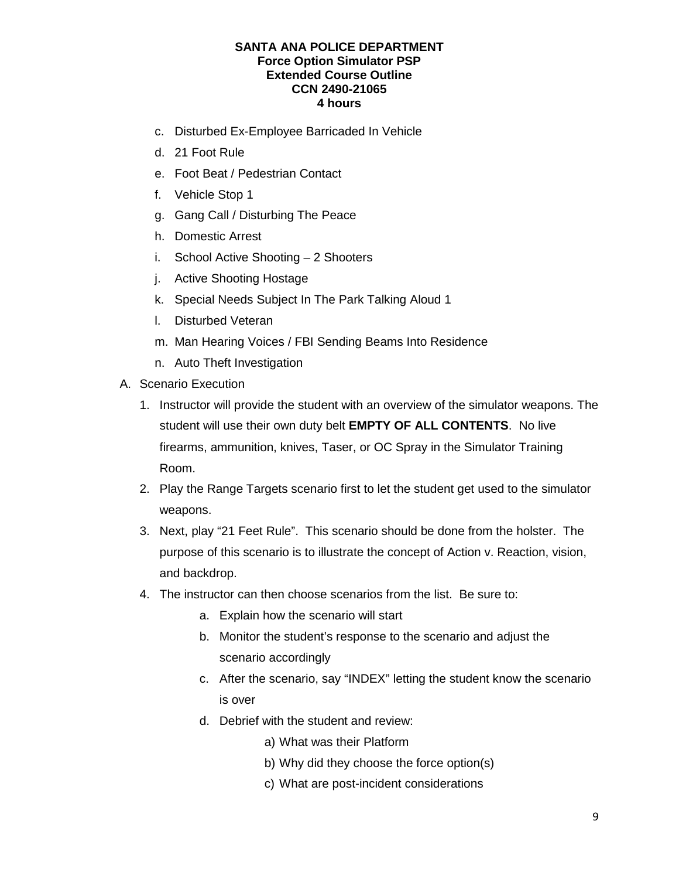- c. Disturbed Ex-Employee Barricaded In Vehicle
- d. 21 Foot Rule
- e. Foot Beat / Pedestrian Contact
- f. Vehicle Stop 1
- g. Gang Call / Disturbing The Peace
- h. Domestic Arrest
- i. School Active Shooting 2 Shooters
- j. Active Shooting Hostage
- k. Special Needs Subject In The Park Talking Aloud 1
- l. Disturbed Veteran
- m. Man Hearing Voices / FBI Sending Beams Into Residence
- n. Auto Theft Investigation
- A. Scenario Execution
	- 1. Instructor will provide the student with an overview of the simulator weapons. The student will use their own duty belt **EMPTY OF ALL CONTENTS**. No live firearms, ammunition, knives, Taser, or OC Spray in the Simulator Training Room.
	- 2. Play the Range Targets scenario first to let the student get used to the simulator weapons.
	- 3. Next, play "21 Feet Rule". This scenario should be done from the holster. The purpose of this scenario is to illustrate the concept of Action v. Reaction, vision, and backdrop.
	- 4. The instructor can then choose scenarios from the list. Be sure to:
		- a. Explain how the scenario will start
		- b. Monitor the student's response to the scenario and adjust the scenario accordingly
		- c. After the scenario, say "INDEX" letting the student know the scenario is over
		- d. Debrief with the student and review:
			- a) What was their Platform
			- b) Why did they choose the force option(s)
			- c) What are post-incident considerations